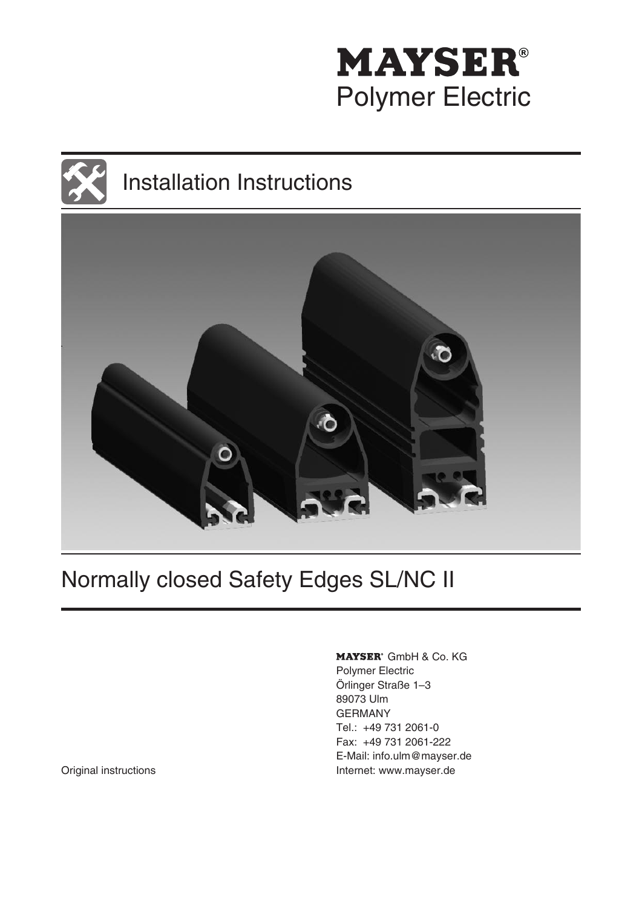





# Normally closed Safety Edges SL/NC II

MAYSER<sup>®</sup> GmbH & Co. KG Polymer Electric Örlinger Straße 1–3 89073 Ulm GERMANY Tel.: +49 731 2061-0 Fax: +49 731 2061-222 E-Mail: info.ulm@mayser.de Original instructions **Internet: www.mayser.de**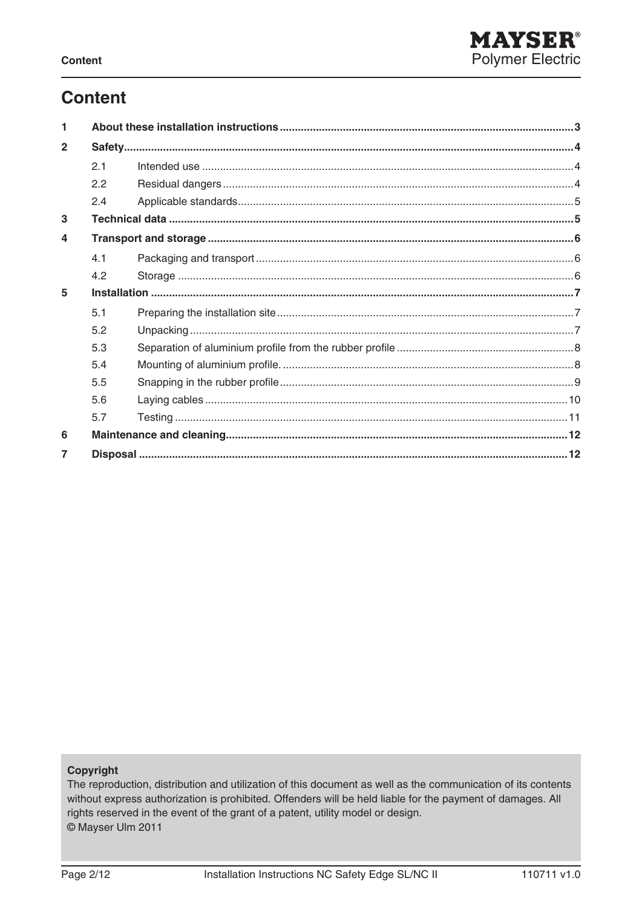## **Content**

| 1              |     |  |  |
|----------------|-----|--|--|
| $\overline{2}$ |     |  |  |
|                | 2.1 |  |  |
|                | 2.2 |  |  |
|                | 2.4 |  |  |
| 3              |     |  |  |
| 4              |     |  |  |
|                | 4.1 |  |  |
|                | 4.2 |  |  |
| 5              |     |  |  |
|                | 5.1 |  |  |
|                | 5.2 |  |  |
|                | 5.3 |  |  |
|                | 5.4 |  |  |
|                | 5.5 |  |  |
|                | 5.6 |  |  |
|                | 5.7 |  |  |
| 6              |     |  |  |
|                |     |  |  |

#### Copyright

The reproduction, distribution and utilization of this document as well as the communication of its contents without express authorization is prohibited. Offenders will be held liable for the payment of damages. All rights reserved in the event of the grant of a patent, utility model or design. © Mayser Ulm 2011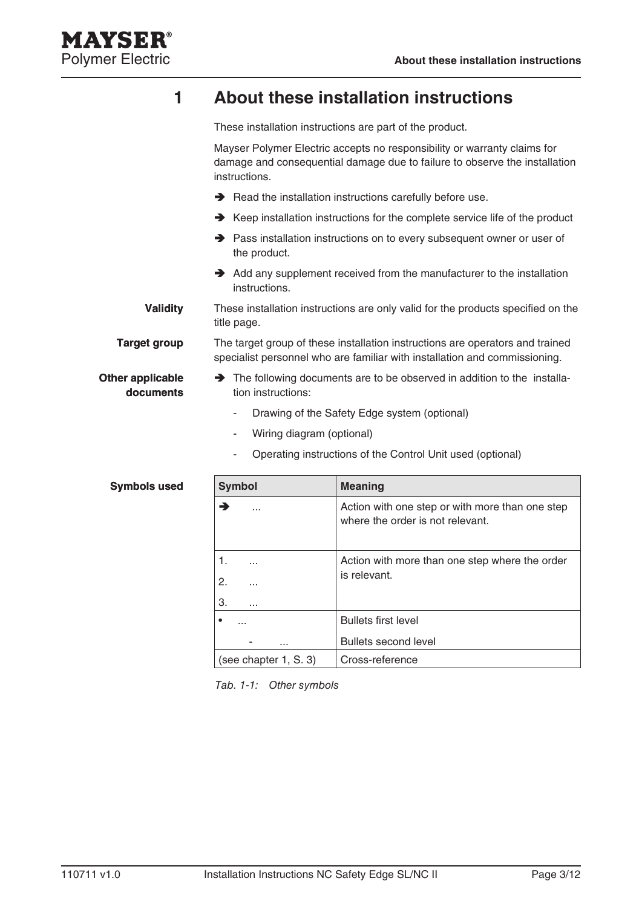

## **1 About these installation instructions**

These installation instructions are part of the product.

Mayser Polymer Electric accepts no responsibility or warranty claims for damage and consequential damage due to failure to observe the installation instructions.

- Read the installation instructions carefully before use.
- **→** Keep installation instructions for the complete service life of the product
- → Pass installation instructions on to every subsequent owner or user of the product.
- $\rightarrow$  Add any supplement received from the manufacturer to the installation instructions.

These installation instructions are only valid for the products specified on the title page. **Validity**

The target group of these installation instructions are operators and trained specialist personnel who are familiar with installation and commissioning. **Target group**

**Other applicable documents**

**Symbols used**

- The following documents are to be observed in addition to the installation instructions:
	- Drawing of the Safety Edge system (optional) -
	- Wiring diagram (optional) -
	- Operating instructions of the Control Unit used (optional) -

| <b>Symbol</b>              | <b>Meaning</b>                                                                      |  |
|----------------------------|-------------------------------------------------------------------------------------|--|
|                            | Action with one step or with more than one step<br>where the order is not relevant. |  |
| 1.                         | Action with more than one step where the order                                      |  |
| 2.<br>.                    | is relevant.                                                                        |  |
| З.<br>$\sim$ $\sim$ $\sim$ |                                                                                     |  |
|                            | <b>Bullets first level</b>                                                          |  |
| .                          | Bullets second level                                                                |  |
| (see chapter 1, S. 3)      | Cross-reference                                                                     |  |

Tab. 1-1: Other symbols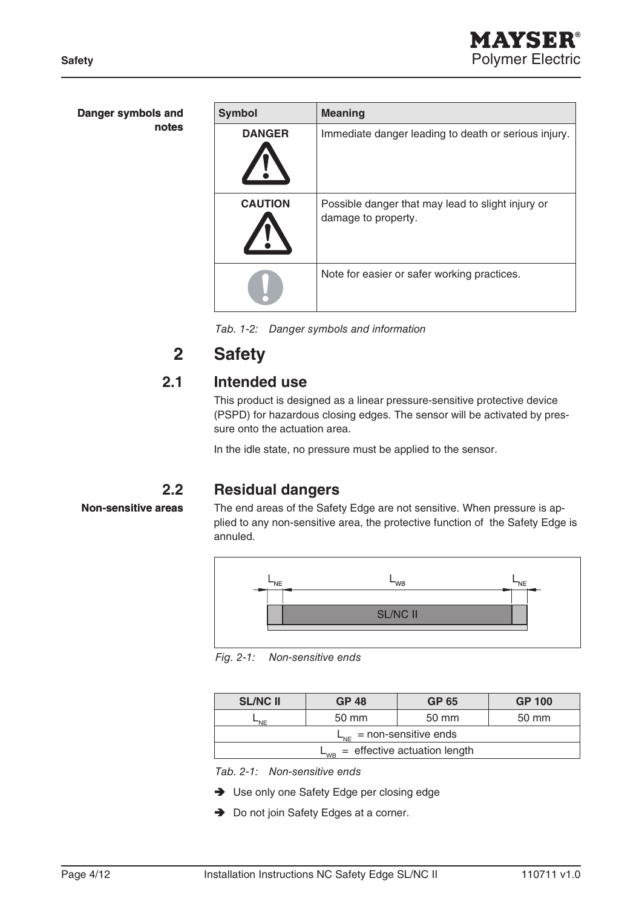| Danger symbols and | <b>Symbol</b>  | <b>Meaning</b>                                                           |
|--------------------|----------------|--------------------------------------------------------------------------|
| notes              | <b>DANGER</b>  | Immediate danger leading to death or serious injury.                     |
|                    | <b>CAUTION</b> | Possible danger that may lead to slight injury or<br>damage to property. |
|                    |                | Note for easier or safer working practices.                              |

Tab. 1-2: Danger symbols and information

## **2 Safety**

### **2.1 Intended use**

This product is designed as a linear pressure-sensitive protective device (PSPD) for hazardous closing edges. The sensor will be activated by pressure onto the actuation area.

In the idle state, no pressure must be applied to the sensor.

### **2.2 Residual dangers**

#### **Non-sensitive areas**

The end areas of the Safety Edge are not sensitive. When pressure is applied to any non-sensitive area, the protective function of the Safety Edge is annuled.



Fig. 2-1: Non-sensitive ends

| <b>SL/NC II</b>                      | <b>GP 48</b> | <b>GP 65</b> | <b>GP 100</b> |  |
|--------------------------------------|--------------|--------------|---------------|--|
| 'NF                                  | 50 mm        | 50 mm        | 50 mm         |  |
| $L_{\text{NE}}$ = non-sensitive ends |              |              |               |  |
| $=$ effective actuation length       |              |              |               |  |

Tab. 2-1: Non-sensitive ends

- **→** Use only one Safety Edge per closing edge
- **→** Do not join Safety Edges at a corner.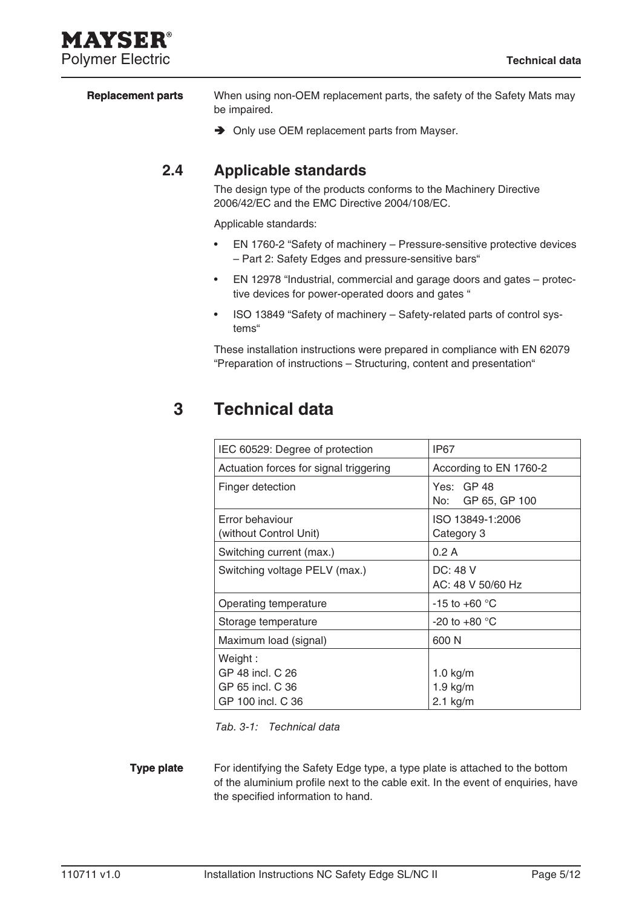## MAYSEI **Polymer Electric Technical data**

When using non-OEM replacement parts, the safety of the Safety Mats may be impaired. **Replacement parts**

**→** Only use OEM replacement parts from Mayser.

## **2.4 Applicable standards**

The design type of the products conforms to the Machinery Directive 2006/42/EC and the EMC Directive 2004/108/EC.

Applicable standards:

- EN 1760-2 "Safety of machinery Pressure-sensitive protective devices – Part 2: Safety Edges and pressure-sensitive bars" •
- EN 12978 "Industrial, commercial and garage doors and gates protective devices for power-operated doors and gates " •
- ISO 13849 "Safety of machinery Safety-related parts of control systems" •

These installation instructions were prepared in compliance with EN 62079 "Preparation of instructions – Structuring, content and presentation"

## **3 Technical data**

| IEC 60529: Degree of protection           | IP67                            |
|-------------------------------------------|---------------------------------|
| Actuation forces for signal triggering    | According to EN 1760-2          |
| Finger detection                          | Yes: GP 48<br>No: GP 65, GP 100 |
| Error behaviour<br>(without Control Unit) | ISO 13849-1:2006<br>Category 3  |
| Switching current (max.)                  | 0.2A                            |
| Switching voltage PELV (max.)             | DC: 48 V<br>AC: 48 V 50/60 Hz   |
| Operating temperature                     | -15 to +60 $\degree$ C          |
| Storage temperature                       | -20 to +80 $^{\circ}$ C         |
| Maximum load (signal)                     | 600 N                           |
| Weight :                                  |                                 |
| GP 48 incl. C 26                          | $1.0$ kg/m                      |
| GP 65 incl. C 36                          | $1.9$ kg/m                      |
| GP 100 incl. C 36                         | $2.1$ kg/m                      |

Tab. 3-1: Technical data

For identifying the Safety Edge type, a type plate is attached to the bottom of the aluminium profile next to the cable exit. In the event of enquiries, have the specified information to hand. **Type plate**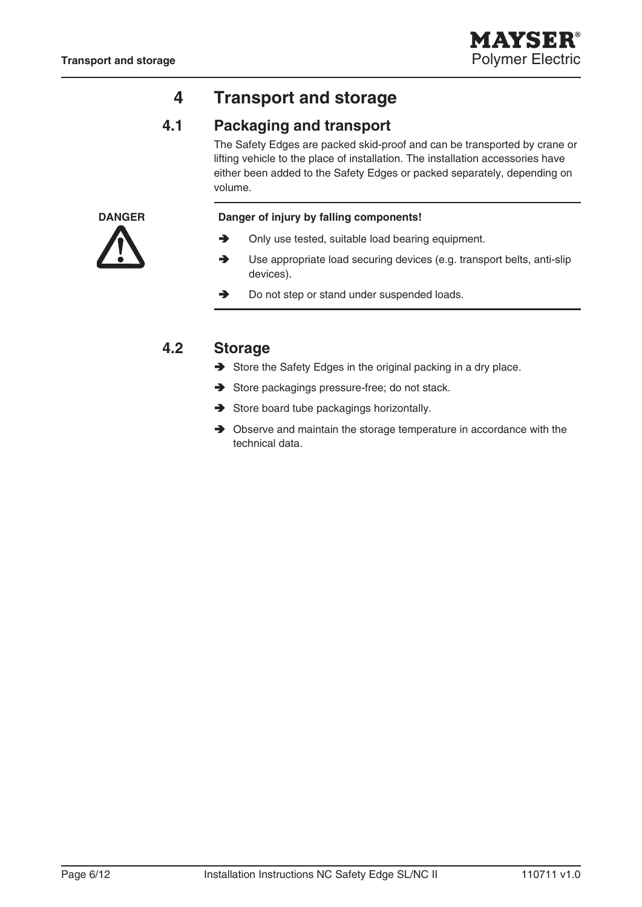## **4 Transport and storage**

## **4.1 Packaging and transport**

The Safety Edges are packed skid-proof and can be transported by crane or lifting vehicle to the place of installation. The installation accessories have either been added to the Safety Edges or packed separately, depending on volume.



#### **DANGER Danger of injury by falling components!**

- Only use tested, suitable load bearing equipment.  $\rightarrow$
- Use appropriate load securing devices (e.g. transport belts, anti-slip devices).  $\rightarrow$
- Do not step or stand under suspended loads.  $\rightarrow$

### **4.2 Storage**

- Store the Safety Edges in the original packing in a dry place.
- Store packagings pressure-free; do not stack.
- Store board tube packagings horizontally.
- $\rightarrow$  Observe and maintain the storage temperature in accordance with the technical data.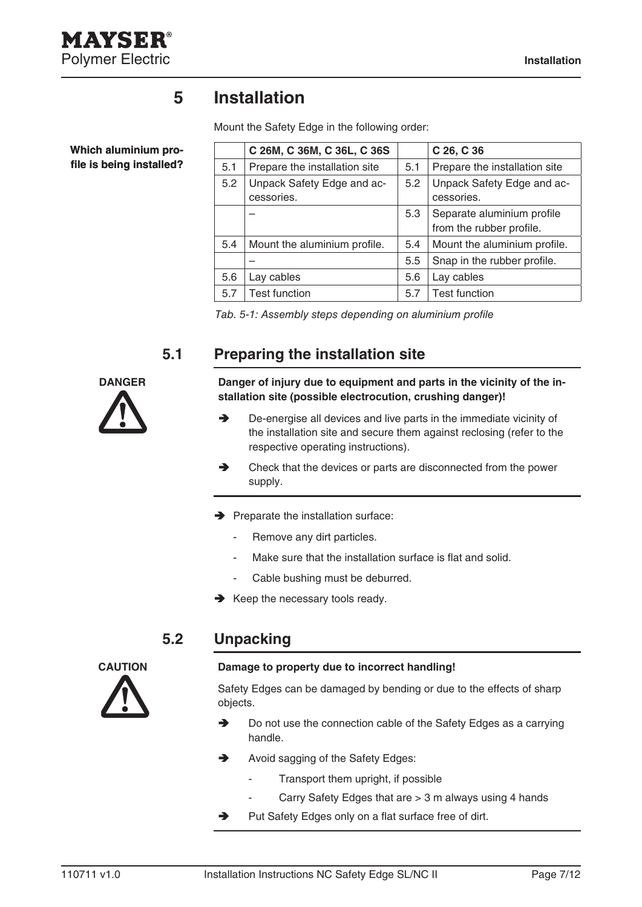

**Which aluminium profile is being installed?**

## **5 Installation**

Mount the Safety Edge in the following order:

|     | C 26M, C 36M, C 36L, C 36S               |     | C 26, C 36                                             |
|-----|------------------------------------------|-----|--------------------------------------------------------|
| 5.1 | Prepare the installation site            | 5.1 | Prepare the installation site                          |
| 5.2 | Unpack Safety Edge and ac-<br>cessories. | 5.2 | Unpack Safety Edge and ac-<br>cessories.               |
|     |                                          | 5.3 | Separate aluminium profile<br>from the rubber profile. |
| 5.4 | Mount the aluminium profile.             | 5.4 | Mount the aluminium profile.                           |
|     |                                          | 5.5 | Snap in the rubber profile.                            |
| 5.6 | Lay cables                               | 5.6 | Lay cables                                             |
| 5.7 | <b>Test function</b>                     | 5.7 | <b>Test function</b>                                   |

Tab. 5-1: Assembly steps depending on aluminium profile

## **5.1 Preparing the installation site**



**DANGER Danger of injury due to equipment and parts in the vicinity of the installation site (possible electrocution, crushing danger)!**

- De-energise all devices and live parts in the immediate vicinity of the installation site and secure them against reclosing (refer to the respective operating instructions).  $\rightarrow$
- Check that the devices or parts are disconnected from the power supply.  $\rightarrow$
- $\rightarrow$  Preparate the installation surface:
	- Remove any dirt particles. -
	- Make sure that the installation surface is flat and solid. -
	- Cable bushing must be deburred. -
- $\rightarrow$  Keep the necessary tools ready.

### **5.2 Unpacking**

-



#### **CAUTION Damage to property due to incorrect handling!**

Safety Edges can be damaged by bending or due to the effects of sharp objects.

- Do not use the connection cable of the Safety Edges as a carrying handle. →
- Avoid sagging of the Safety Edges:  $\rightarrow$ 
	- Transport them upright, if possible -
	- Carry Safety Edges that are > 3 m always using 4 hands
- Put Safety Edges only on a flat surface free of dirt. →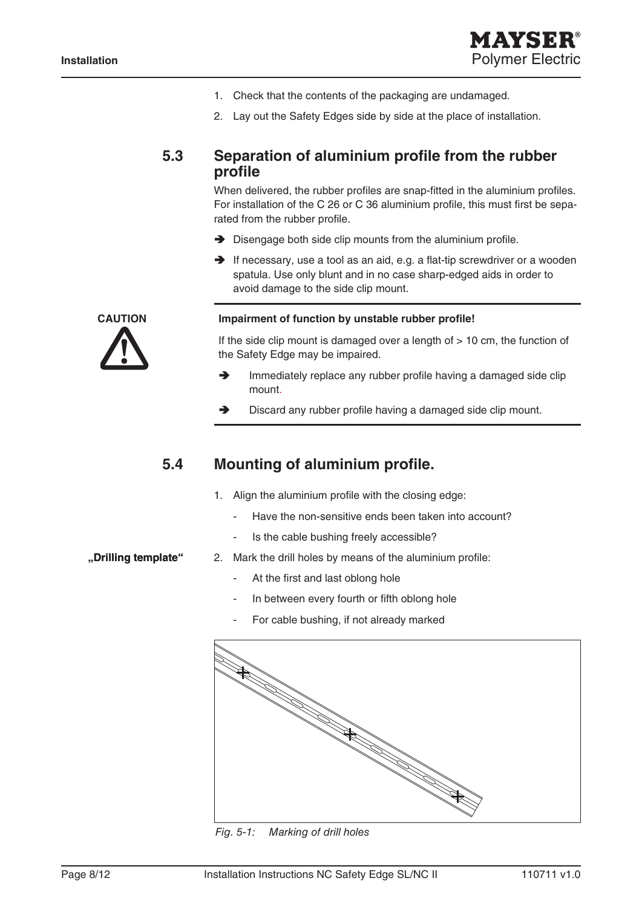

- Check that the contents of the packaging are undamaged. 1.
- 2. Lay out the Safety Edges side by side at the place of installation.

#### **5.3 Separation of aluminium profile from the rubber profile**

When delivered, the rubber profiles are snap-fitted in the aluminium profiles. For installation of the C 26 or C 36 aluminium profile, this must first be separated from the rubber profile.

- $\rightarrow$  Disengage both side clip mounts from the aluminium profile.
- $\rightarrow$  If necessary, use a tool as an aid, e.g. a flat-tip screwdriver or a wooden spatula. Use only blunt and in no case sharp-edged aids in order to avoid damage to the side clip mount.

#### **CAUTION Impairment of function by unstable rubber profile!**

If the side clip mount is damaged over a length of  $> 10$  cm, the function of the Safety Edge may be impaired.

- Immediately replace any rubber profile having a damaged side clip mount.  $\blacktriangle$
- Discard any rubber profile having a damaged side clip mount. A

#### **5.4 Mounting of aluminium profile.**

- Align the aluminium profile with the closing edge: 1.
	- Have the non-sensitive ends been taken into account? -
	- Is the cable bushing freely accessible? -

#### **"Drilling template"**

- Mark the drill holes by means of the aluminium profile: 2.
	- At the first and last oblong hole -
	- In between every fourth or fifth oblong hole -
	- For cable bushing, if not already marked -



Fig. 5-1: Marking of drill holes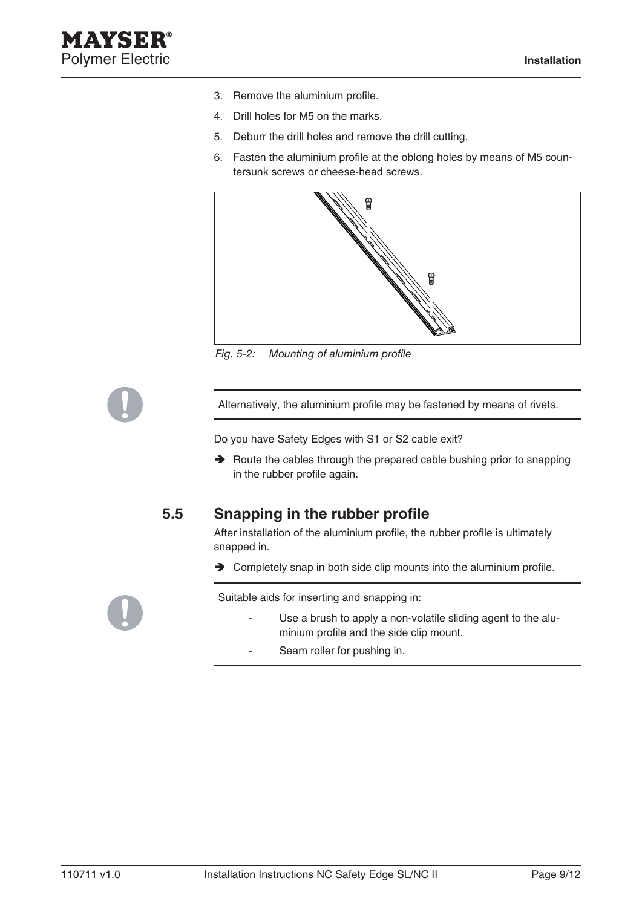- 3. Remove the aluminium profile.
- 4. Drill holes for M5 on the marks.
- 5. Deburr the drill holes and remove the drill cutting.
- Fasten the aluminium profile at the oblong holes by means of M5 coun-6. tersunk screws or cheese-head screws.



Fig. 5-2: Mounting of aluminium profile

Alternatively, the aluminium profile may be fastened by means of rivets.

Do you have Safety Edges with S1 or S2 cable exit?

 $\rightarrow$  Route the cables through the prepared cable bushing prior to snapping in the rubber profile again.

### **5.5 Snapping in the rubber profile**

After installation of the aluminium profile, the rubber profile is ultimately snapped in.

**→** Completely snap in both side clip mounts into the aluminium profile.

Suitable aids for inserting and snapping in:

- Use a brush to apply a non-volatile sliding agent to the aluminium profile and the side clip mount. -
- Seam roller for pushing in. -

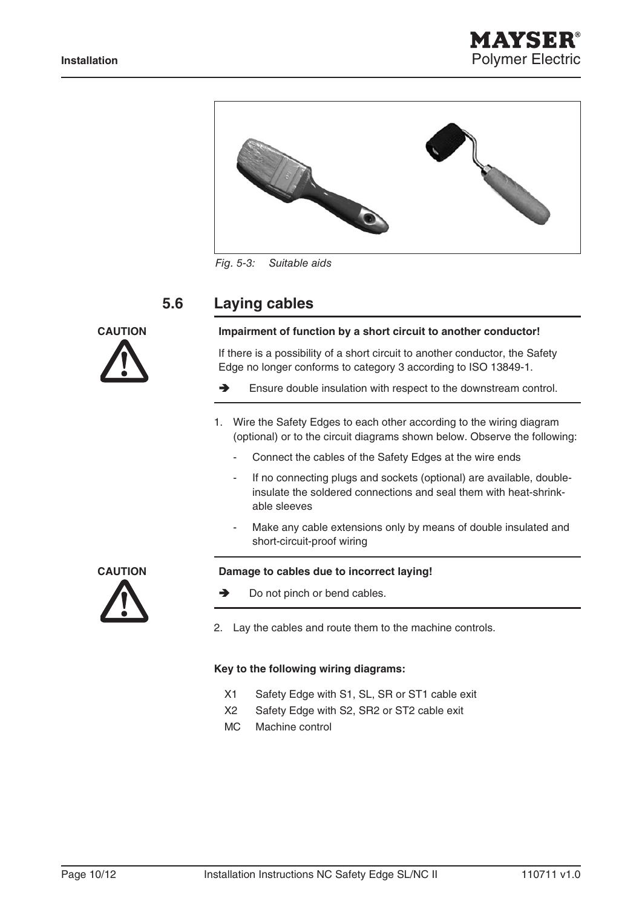



Fig. 5-3: Suitable aids

### **5.6 Laying cables**



#### **Caution Impairment of function by a short circuit to another conductor!**

If there is a possibility of a short circuit to another conductor, the Safety Edge no longer conforms to category 3 according to ISO 13849-1.

- Ensure double insulation with respect to the downstream control.
- 1. Wire the Safety Edges to each other according to the wiring diagram (optional) or to the circuit diagrams shown below. Observe the following:
	- Connect the cables of the Safety Edges at the wire ends -
	- If no connecting plugs and sockets (optional) are available, doubleinsulate the soldered connections and seal them with heat-shrinkable sleeves -
	- Make any cable extensions only by means of double insulated and short-circuit-proof wiring -



- Do not pinch or bend cables.
- Lay the cables and route them to the machine controls. 2.

#### **Key to the following wiring diagrams:**

- X1 Safety Edge with S1, SL, SR or ST1 cable exit
- X2 Safety Edge with S2, SR2 or ST2 cable exit
- MC Machine control

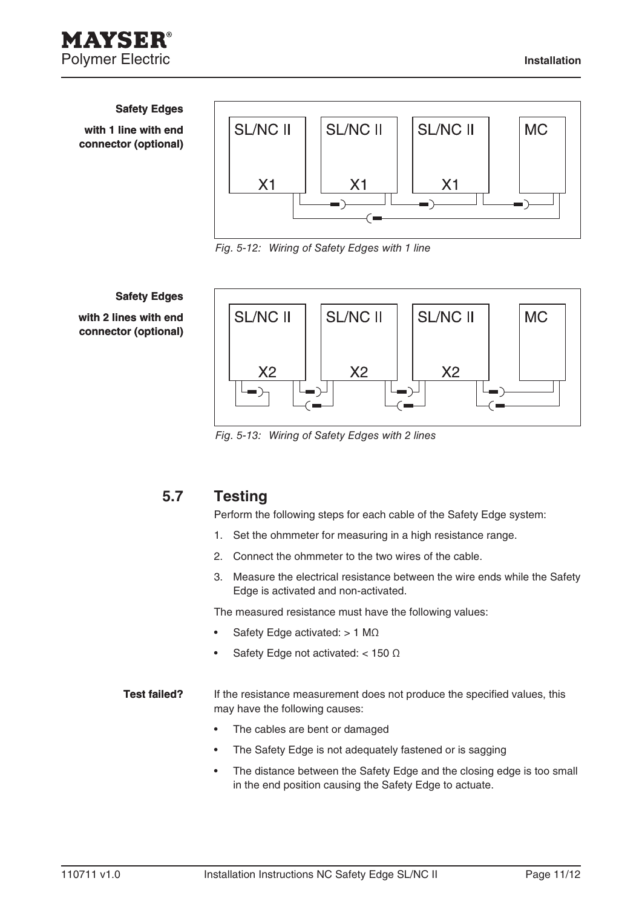#### **Safety Edges**

**with 1 line with end connector (optional)**



Fig. 5-12: Wiring of Safety Edges with 1 line

#### **Safety Edges**

**with 2 lines with end connector (optional)**



Fig. 5-13: Wiring of Safety Edges with 2 lines

### **5.7 Testing**

Perform the following steps for each cable of the Safety Edge system:

- 1. Set the ohmmeter for measuring in a high resistance range.
- 2. Connect the ohmmeter to the two wires of the cable.
- Measure the electrical resistance between the wire ends while the Safety 3. Edge is activated and non-activated.

The measured resistance must have the following values:

- Safety Edge activated: > 1 MΩ •
- Safety Edge not activated: < 150 Ω •
- If the resistance measurement does not produce the specified values, this may have the following causes: **Test failed?**
	- The cables are bent or damaged •
	- The Safety Edge is not adequately fastened or is sagging •
	- The distance between the Safety Edge and the closing edge is too small in the end position causing the Safety Edge to actuate. •